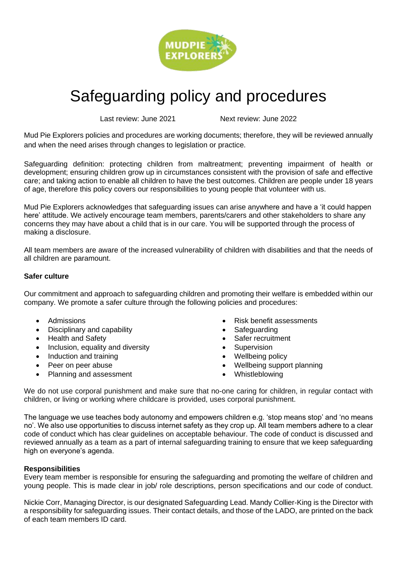

# Safeguarding policy and procedures

Last review: June 2021 Next review: June 2022

Mud Pie Explorers policies and procedures are working documents; therefore, they will be reviewed annually and when the need arises through changes to legislation or practice.

Safeguarding definition: protecting children from maltreatment; preventing impairment of health or development; ensuring children grow up in circumstances consistent with the provision of safe and effective care; and taking action to enable all children to have the best outcomes. Children are people under 18 years of age, therefore this policy covers our responsibilities to young people that volunteer with us.

Mud Pie Explorers acknowledges that safeguarding issues can arise anywhere and have a 'it could happen here' attitude. We actively encourage team members, parents/carers and other stakeholders to share any concerns they may have about a child that is in our care. You will be supported through the process of making a disclosure.

All team members are aware of the increased vulnerability of children with disabilities and that the needs of all children are paramount.

## **Safer culture**

Our commitment and approach to safeguarding children and promoting their welfare is embedded within our company. We promote a safer culture through the following policies and procedures:

- Admissions
- Disciplinary and capability
- Health and Safety
- Inclusion, equality and diversity
- Induction and training
- Peer on peer abuse
- Planning and assessment
- Risk benefit assessments
- **Safeguarding**
- Safer recruitment
- **Supervision**
- Wellbeing policy
- Wellbeing support planning
- Whistleblowing

We do not use corporal punishment and make sure that no-one caring for children, in regular contact with children, or living or working where childcare is provided, uses corporal punishment.

The language we use teaches body autonomy and empowers children e.g. 'stop means stop' and 'no means no'. We also use opportunities to discuss internet safety as they crop up. All team members adhere to a clear code of conduct which has clear guidelines on acceptable behaviour. The code of conduct is discussed and reviewed annually as a team as a part of internal safeguarding training to ensure that we keep safeguarding high on everyone's agenda.

## **Responsibilities**

Every team member is responsible for ensuring the safeguarding and promoting the welfare of children and young people. This is made clear in job/ role descriptions, person specifications and our code of conduct.

Nickie Corr, Managing Director, is our designated Safeguarding Lead. Mandy Collier-King is the Director with a responsibility for safeguarding issues. Their contact details, and those of the LADO, are printed on the back of each team members ID card.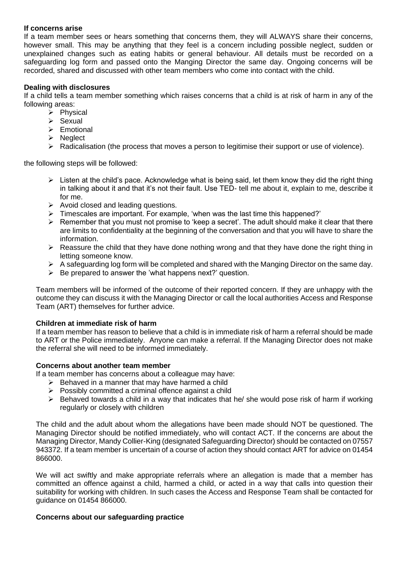## **If concerns arise**

If a team member sees or hears something that concerns them, they will ALWAYS share their concerns, however small. This may be anything that they feel is a concern including possible neglect, sudden or unexplained changes such as eating habits or general behaviour. All details must be recorded on a safeguarding log form and passed onto the Manging Director the same day. Ongoing concerns will be recorded, shared and discussed with other team members who come into contact with the child.

## **Dealing with disclosures**

If a child tells a team member something which raises concerns that a child is at risk of harm in any of the following areas:

- ➢ Physical
- ➢ Sexual
- ➢ Emotional
- ➢ Neglect
- ➢ Radicalisation (the process that moves a person to legitimise their support or use of violence).

the following steps will be followed:

- $\triangleright$  Listen at the child's pace. Acknowledge what is being said, let them know they did the right thing in talking about it and that it's not their fault. Use TED- tell me about it, explain to me, describe it for me.
- ➢ Avoid closed and leading questions.
- ➢ Timescales are important. For example, 'when was the last time this happened?'
- $\triangleright$  Remember that you must not promise to 'keep a secret'. The adult should make it clear that there are limits to confidentiality at the beginning of the conversation and that you will have to share the information.
- $\triangleright$  Reassure the child that they have done nothing wrong and that they have done the right thing in letting someone know.
- ➢ A safeguarding log form will be completed and shared with the Manging Director on the same day.
- $\triangleright$  Be prepared to answer the 'what happens next?' question.

Team members will be informed of the outcome of their reported concern. If they are unhappy with the outcome they can discuss it with the Managing Director or call the local authorities Access and Response Team (ART) themselves for further advice.

## **Children at immediate risk of harm**

If a team member has reason to believe that a child is in immediate risk of harm a referral should be made to ART or the Police immediately. Anyone can make a referral. If the Managing Director does not make the referral she will need to be informed immediately.

#### **Concerns about another team member**

If a team member has concerns about a colleague may have:

- $\triangleright$  Behaved in a manner that may have harmed a child
- ➢ Possibly committed a criminal offence against a child
- $\triangleright$  Behaved towards a child in a way that indicates that he/ she would pose risk of harm if working regularly or closely with children

The child and the adult about whom the allegations have been made should NOT be questioned. The Managing Director should be notified immediately, who will contact ACT. If the concerns are about the Managing Director, Mandy Collier-King (designated Safeguarding Director) should be contacted on 07557 943372. If a team member is uncertain of a course of action they should contact ART for advice on 01454 866000.

We will act swiftly and make appropriate referrals where an allegation is made that a member has committed an offence against a child, harmed a child, or acted in a way that calls into question their suitability for working with children. In such cases the Access and Response Team shall be contacted for guidance on 01454 866000.

#### **Concerns about our safeguarding practice**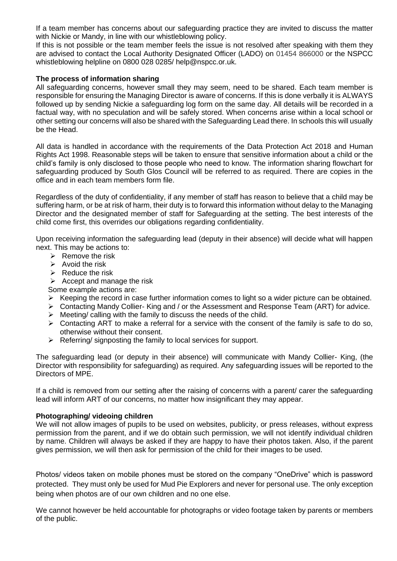If a team member has concerns about our safeguarding practice they are invited to discuss the matter with Nickie or Mandy, in line with our whistleblowing policy.

If this is not possible or the team member feels the issue is not resolved after speaking with them they are advised to contact the Local Authority Designated Officer (LADO) on 01454 866000 or the NSPCC whistleblowing helpline on 0800 028 0285/ help@nspcc.or.uk.

## **The process of information sharing**

All safeguarding concerns, however small they may seem, need to be shared. Each team member is responsible for ensuring the Managing Director is aware of concerns. If this is done verbally it is ALWAYS followed up by sending Nickie a safeguarding log form on the same day. All details will be recorded in a factual way, with no speculation and will be safely stored. When concerns arise within a local school or other setting our concerns will also be shared with the Safeguarding Lead there. In schools this will usually be the Head.

All data is handled in accordance with the requirements of the Data Protection Act 2018 and Human Rights Act 1998. Reasonable steps will be taken to ensure that sensitive information about a child or the child's family is only disclosed to those people who need to know. The information sharing flowchart for safeguarding produced by South Glos Council will be referred to as required. There are copies in the office and in each team members form file.

Regardless of the duty of confidentiality, if any member of staff has reason to believe that a child may be suffering harm, or be at risk of harm, their duty is to forward this information without delay to the Managing Director and the designated member of staff for Safeguarding at the setting. The best interests of the child come first, this overrides our obligations regarding confidentiality.

Upon receiving information the safeguarding lead (deputy in their absence) will decide what will happen next. This may be actions to:

- $\triangleright$  Remove the risk
- $\triangleright$  Avoid the risk
- $\triangleright$  Reduce the risk
- $\triangleright$  Accept and manage the risk
- Some example actions are:
- ➢ Keeping the record in case further information comes to light so a wider picture can be obtained.
- ➢ Contacting Mandy Collier- King and / or the Assessment and Response Team (ART) for advice.
- $\triangleright$  Meeting/ calling with the family to discuss the needs of the child.
- ➢ Contacting ART to make a referral for a service with the consent of the family is safe to do so, otherwise without their consent.
- ➢ Referring/ signposting the family to local services for support.

The safeguarding lead (or deputy in their absence) will communicate with Mandy Collier- King, (the Director with responsibility for safeguarding) as required. Any safeguarding issues will be reported to the Directors of MPE.

If a child is removed from our setting after the raising of concerns with a parent/ carer the safeguarding lead will inform ART of our concerns, no matter how insignificant they may appear.

## **Photographing/ videoing children**

We will not allow images of pupils to be used on websites, publicity, or press releases, without express permission from the parent, and if we do obtain such permission, we will not identify individual children by name. Children will always be asked if they are happy to have their photos taken. Also, if the parent gives permission, we will then ask for permission of the child for their images to be used.

Photos/ videos taken on mobile phones must be stored on the company "OneDrive" which is password protected. They must only be used for Mud Pie Explorers and never for personal use. The only exception being when photos are of our own children and no one else.

We cannot however be held accountable for photographs or video footage taken by parents or members of the public.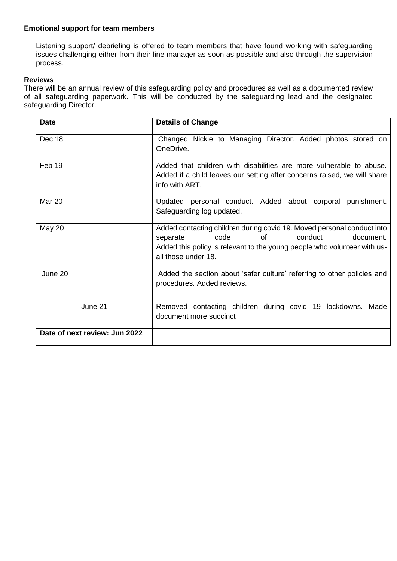## **Emotional support for team members**

Listening support/ debriefing is offered to team members that have found working with safeguarding issues challenging either from their line manager as soon as possible and also through the supervision process.

## **Reviews**

There will be an annual review of this safeguarding policy and procedures as well as a documented review of all safeguarding paperwork. This will be conducted by the safeguarding lead and the designated safeguarding Director.

| <b>Date</b>                   | <b>Details of Change</b>                                                                                                                                                                                                    |  |  |  |  |
|-------------------------------|-----------------------------------------------------------------------------------------------------------------------------------------------------------------------------------------------------------------------------|--|--|--|--|
| Dec 18                        | Changed Nickie to Managing Director. Added photos stored on<br>OneDrive.                                                                                                                                                    |  |  |  |  |
| Feb 19                        | Added that children with disabilities are more vulnerable to abuse.<br>Added if a child leaves our setting after concerns raised, we will share<br>info with ART.                                                           |  |  |  |  |
| Mar 20                        | Updated personal conduct. Added about corporal punishment.<br>Safeguarding log updated.                                                                                                                                     |  |  |  |  |
| May 20                        | Added contacting children during covid 19. Moved personal conduct into<br>conduct<br>separate<br>code<br>document.<br>of<br>Added this policy is relevant to the young people who volunteer with us-<br>all those under 18. |  |  |  |  |
| June 20                       | Added the section about 'safer culture' referring to other policies and<br>procedures. Added reviews.                                                                                                                       |  |  |  |  |
| June 21                       | Removed contacting children during covid 19 lockdowns.<br>Made<br>document more succinct                                                                                                                                    |  |  |  |  |
| Date of next review: Jun 2022 |                                                                                                                                                                                                                             |  |  |  |  |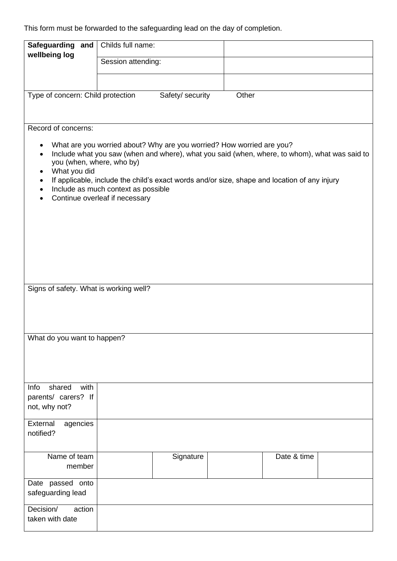This form must be forwarded to the safeguarding lead on the day of completion.

| Safeguarding and                                                                                                                                                                                                                                                                                                                                                                                                            | Childs full name:  |                  |       |             |  |  |  |
|-----------------------------------------------------------------------------------------------------------------------------------------------------------------------------------------------------------------------------------------------------------------------------------------------------------------------------------------------------------------------------------------------------------------------------|--------------------|------------------|-------|-------------|--|--|--|
| wellbeing log                                                                                                                                                                                                                                                                                                                                                                                                               | Session attending: |                  |       |             |  |  |  |
|                                                                                                                                                                                                                                                                                                                                                                                                                             |                    |                  |       |             |  |  |  |
|                                                                                                                                                                                                                                                                                                                                                                                                                             |                    |                  |       |             |  |  |  |
| Type of concern: Child protection                                                                                                                                                                                                                                                                                                                                                                                           |                    | Safety/ security | Other |             |  |  |  |
|                                                                                                                                                                                                                                                                                                                                                                                                                             |                    |                  |       |             |  |  |  |
|                                                                                                                                                                                                                                                                                                                                                                                                                             |                    |                  |       |             |  |  |  |
| Record of concerns:                                                                                                                                                                                                                                                                                                                                                                                                         |                    |                  |       |             |  |  |  |
| What are you worried about? Why are you worried? How worried are you?<br>٠<br>Include what you saw (when and where), what you said (when, where, to whom), what was said to<br>$\bullet$<br>you (when, where, who by)<br>What you did<br>$\bullet$<br>If applicable, include the child's exact words and/or size, shape and location of any injury<br>Include as much context as possible<br>Continue overleaf if necessary |                    |                  |       |             |  |  |  |
|                                                                                                                                                                                                                                                                                                                                                                                                                             |                    |                  |       |             |  |  |  |
| Signs of safety. What is working well?                                                                                                                                                                                                                                                                                                                                                                                      |                    |                  |       |             |  |  |  |
| What do you want to happen?                                                                                                                                                                                                                                                                                                                                                                                                 |                    |                  |       |             |  |  |  |
|                                                                                                                                                                                                                                                                                                                                                                                                                             |                    |                  |       |             |  |  |  |
| with<br>Info<br>shared                                                                                                                                                                                                                                                                                                                                                                                                      |                    |                  |       |             |  |  |  |
| parents/ carers? If                                                                                                                                                                                                                                                                                                                                                                                                         |                    |                  |       |             |  |  |  |
| not, why not?                                                                                                                                                                                                                                                                                                                                                                                                               |                    |                  |       |             |  |  |  |
| External<br>agencies                                                                                                                                                                                                                                                                                                                                                                                                        |                    |                  |       |             |  |  |  |
| notified?                                                                                                                                                                                                                                                                                                                                                                                                                   |                    |                  |       |             |  |  |  |
|                                                                                                                                                                                                                                                                                                                                                                                                                             |                    |                  |       |             |  |  |  |
| Name of team                                                                                                                                                                                                                                                                                                                                                                                                                |                    | Signature        |       | Date & time |  |  |  |
| member                                                                                                                                                                                                                                                                                                                                                                                                                      |                    |                  |       |             |  |  |  |
|                                                                                                                                                                                                                                                                                                                                                                                                                             |                    |                  |       |             |  |  |  |
| Date passed onto                                                                                                                                                                                                                                                                                                                                                                                                            |                    |                  |       |             |  |  |  |
| safeguarding lead                                                                                                                                                                                                                                                                                                                                                                                                           |                    |                  |       |             |  |  |  |
| Decision/<br>action                                                                                                                                                                                                                                                                                                                                                                                                         |                    |                  |       |             |  |  |  |
| taken with date                                                                                                                                                                                                                                                                                                                                                                                                             |                    |                  |       |             |  |  |  |